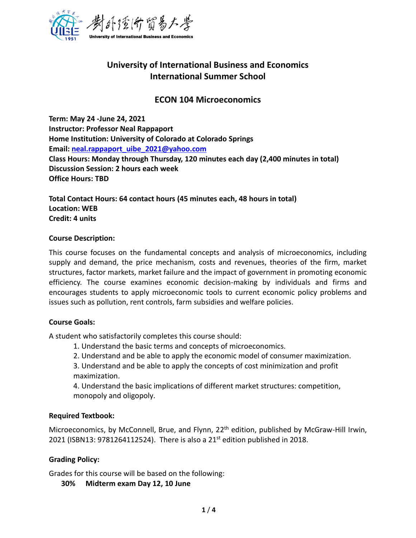

# **University of International Business and Economics International Summer School**

## **ECON 104 Microeconomics**

**Term: May 24 -June 24, 2021 Instructor: Professor Neal Rappaport Home Institution: University of Colorado at Colorado Springs Email: [neal.rappaport\\_uibe\\_2021@yahoo.com](mailto:neal.rappaport_uibe_2021@yahoo.com) Class Hours: Monday through Thursday, 120 minutes each day (2,400 minutes in total) Discussion Session: 2 hours each week Office Hours: TBD**

**Total Contact Hours: 64 contact hours (45 minutes each, 48 hours in total) Location: WEB Credit: 4 units**

#### **Course Description:**

This course focuses on the fundamental concepts and analysis of microeconomics, including supply and demand, the price mechanism, costs and revenues, theories of the firm, market structures, factor markets, market failure and the impact of government in promoting economic efficiency. The course examines economic decision-making by individuals and firms and encourages students to apply microeconomic tools to current economic policy problems and issues such as pollution, rent controls, farm subsidies and welfare policies.

### **Course Goals:**

A student who satisfactorily completes this course should:

- 1. Understand the basic terms and concepts of microeconomics.
- 2. Understand and be able to apply the economic model of consumer maximization.

3. Understand and be able to apply the concepts of cost minimization and profit maximization.

4. Understand the basic implications of different market structures: competition, monopoly and oligopoly.

### **Required Textbook:**

Microeconomics, by McConnell, Brue, and Flynn, 22<sup>th</sup> edition, published by McGraw-Hill Irwin, 2021 (ISBN13: 9781264112524). There is also a 21<sup>st</sup> edition published in 2018.

### **Grading Policy:**

Grades for this course will be based on the following:

**30% Midterm exam Day 12, 10 June**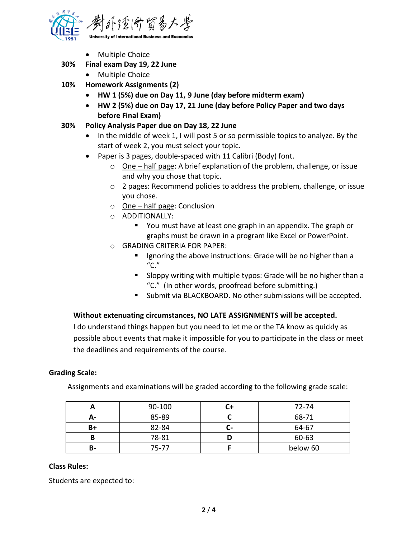

• Multiple Choice

## **30% Final exam Day 19, 22 June**

- Multiple Choice
- **10% Homework Assignments (2)**
	- **HW 1 (5%) due on Day 11, 9 June (day before midterm exam)**
	- **HW 2 (5%) due on Day 17, 21 June (day before Policy Paper and two days before Final Exam)**
- **30% Policy Analysis Paper due on Day 18, 22 June**
	- In the middle of week 1, I will post 5 or so permissible topics to analyze. By the start of week 2, you must select your topic.
	- Paper is 3 pages, double-spaced with 11 Calibri (Body) font.
		- o One half page: A brief explanation of the problem, challenge, or issue and why you chose that topic.
		- o 2 pages: Recommend policies to address the problem, challenge, or issue you chose.
		- o One half page: Conclusion
		- o ADDITIONALLY:
			- You must have at least one graph in an appendix. The graph or graphs must be drawn in a program like Excel or PowerPoint.
		- o GRADING CRITERIA FOR PAPER:
			- Ignoring the above instructions: Grade will be no higher than a  $C''$
			- Sloppy writing with multiple typos: Grade will be no higher than a "C." (In other words, proofread before submitting.)
			- Submit via BLACKBOARD. No other submissions will be accepted.

### **Without extenuating circumstances, NO LATE ASSIGNMENTS will be accepted.**

I do understand things happen but you need to let me or the TA know as quickly as possible about events that make it impossible for you to participate in the class or meet the deadlines and requirements of the course.

#### **Grading Scale:**

Assignments and examinations will be graded according to the following grade scale:

|    | 90-100 |   | 72-74    |
|----|--------|---|----------|
| А- | 85-89  |   | 68-71    |
| B+ | 82-84  | - | 64-67    |
|    | 78-81  |   | 60-63    |
| В- | 75-77  |   | below 60 |

#### **Class Rules:**

Students are expected to: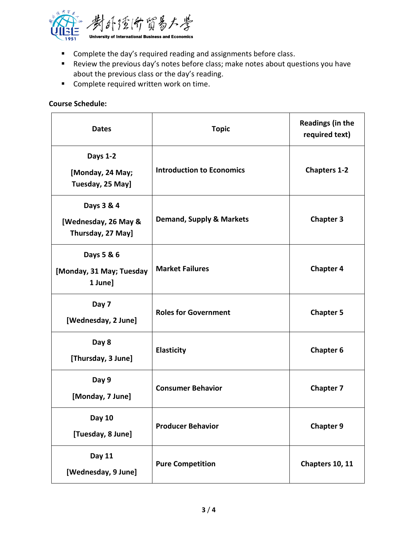

- Complete the day's required reading and assignments before class.
- Review the previous day's notes before class; make notes about questions you have about the previous class or the day's reading.
- Complete required written work on time.

## **Course Schedule:**

| <b>Dates</b>                                            | <b>Topic</b>                        | <b>Readings (in the</b><br>required text) |
|---------------------------------------------------------|-------------------------------------|-------------------------------------------|
| <b>Days 1-2</b><br>[Monday, 24 May;<br>Tuesday, 25 May] | <b>Introduction to Economics</b>    | <b>Chapters 1-2</b>                       |
| Days 3 & 4<br>[Wednesday, 26 May &<br>Thursday, 27 May] | <b>Demand, Supply &amp; Markets</b> | <b>Chapter 3</b>                          |
| Days 5 & 6<br>[Monday, 31 May; Tuesday<br>1 June]       | <b>Market Failures</b>              | <b>Chapter 4</b>                          |
| Day 7<br>[Wednesday, 2 June]                            | <b>Roles for Government</b>         | <b>Chapter 5</b>                          |
| Day 8<br>[Thursday, 3 June]                             | <b>Elasticity</b>                   | <b>Chapter 6</b>                          |
| Day 9<br>[Monday, 7 June]                               | <b>Consumer Behavior</b>            | <b>Chapter 7</b>                          |
| <b>Day 10</b><br>[Tuesday, 8 June]                      | <b>Producer Behavior</b>            | <b>Chapter 9</b>                          |
| <b>Day 11</b><br>[Wednesday, 9 June]                    | <b>Pure Competition</b>             | Chapters 10, 11                           |